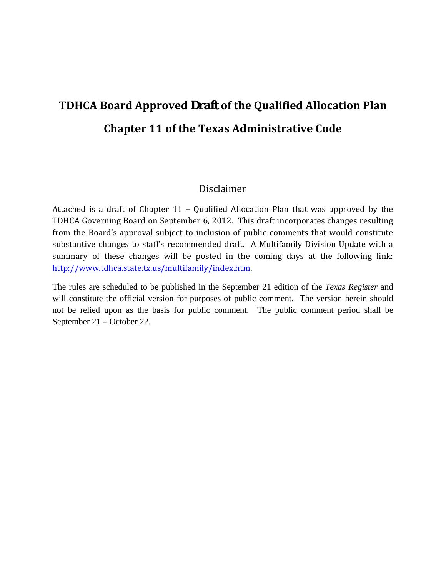# **TDHCA Board Approved** *Draft* **of the Qualified Allocation Plan Chapter 11 of the Texas Administrative Code**

## Disclaimer

 TDHCA Governing Board on September 6, 2012. This draft incorporates changes resulting from the Board's approval subject to inclusion of public comments that would constitute substantive changes to staff's recommended draft. A Multifamily Division Update with a summary of these changes will be posted in the coming days at the following link: Attached is a draft of Chapter 11 – Qualified Allocation Plan that was approved by the http://www.tdhca.state.tx.us/multifamily/index.htm.

The rules are scheduled to be published in the September 21 edition of the *Texas Register* and will constitute the official version for purposes of public comment. The version herein should not be relied upon as the basis for public comment. The public comment period shall be September 21 – October 22.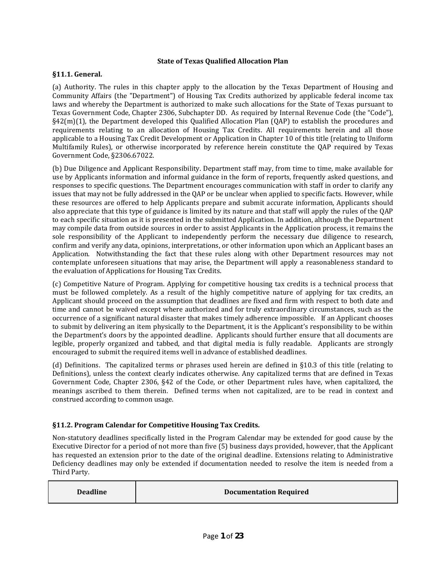#### **State of Texas Qualified Allocation Plan**

#### **§11.1. General.**

 (a) Authority. The rules in this chapter apply to the allocation by the Texas Department of Housing and Community Affairs (the "Department") of Housing Tax Credits authorized by applicable federal income tax laws and whereby the Department is authorized to make such allocations for the State of Texas pursuant to  $\S42$ (m)(1), the Department developed this Qualified Allocation Plan (QAP) to establish the procedures and applicable to a Housing Tax Credit Development or Application in Chapter 10 of this title (relating to Uniform Texas Government Code, Chapter 2306, Subchapter DD. As required by Internal Revenue Code (the "Code"), requirements relating to an allocation of Housing Tax Credits. All requirements herein and all those Multifamily Rules), or otherwise incorporated by reference herein constitute the QAP required by Texas Government Code, §2306.67022.

 (b) Due Diligence and Applicant Responsibility. Department staff may, from time to time, make available for use by Applicants information and informal guidance in the form of reports, frequently asked questions, and issues that may not be fully addressed in the QAP or be unclear when applied to specific facts. However, while these resources are offered to help Applicants prepare and submit accurate information, Applicants should also appreciate that this type of guidance is limited by its nature and that staff will apply the rules of the QAP to each specific situation as it is presented in the submitted Application. In addition, although the Department sole responsibility of the Applicant to independently perform the necessary due diligence to research, Application. Notwithstanding the fact that these rules along with other Department resources may not contemplate unforeseen situations that may arise, the Department will apply a reasonableness standard to responses to specific questions. The Department encourages communication with staff in order to clarify any may compile data from outside sources in order to assist Applicants in the Application process, it remains the confirm and verify any data, opinions, interpretations, or other information upon which an Applicant bases an the evaluati on of Applications for Housing Tax Credits.

 (c) Compe titive Nature of Program. Applying for competitive housing tax credits is a technical process that must be followed completely. As a result of the highly competitive nature of applying for tax credits, an Applicant should proceed on the assumption that deadlines are fixed and firm with respect to both date and time and cannot be waived except where authorized and for truly extraordinary circumstances, such as the occurrence of a significant natural disaster that makes timely adherence impossible. If an Applicant chooses to submit by delivering an item physically to the Department, it is the Applicant's responsibility to be within the Department's doors by the appointed deadline. Applicants should further ensure that all documents are legible, properly organized and tabbed, and that digital media is fully readable. Applicants are strongly encouraged to submit the required items well in advance of established deadlines.

 (d) Definitions. The capitalized terms or phrases used herein are defined in §10.3 of this title (relating to Government Code, Chapter 2306, §42 of the Code, or other Department rules have, when capitalized, the meanings ascribed to them therein. Defined terms when not capitalized, are to be read in context and Definitions), unless the context clearly indicates otherwise. Any capitalized terms that are defined in Texas construed according to common usage.

#### **§11.2. Program Calendar for Competitive Housing Tax Credits.**

 Non‐statutory deadlines specifically listed in the Program Calendar may be extended for good cause by the Executive Director for a period of not more than five (5) business days provided, however, that the Applicant has requested an extension prior to the date of the original deadline. Extensions relating to Administrative Deficiency deadlines may only be extended if documentation needed to resolve the item is needed from a Third Party.

| <b>Deadline</b> | <b>Documentation Required</b> |
|-----------------|-------------------------------|
|-----------------|-------------------------------|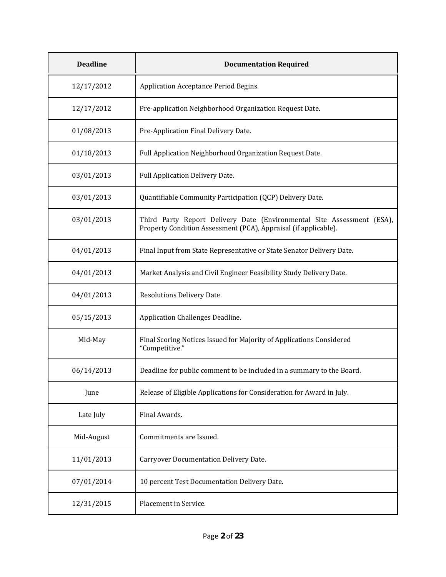| <b>Deadline</b> | <b>Documentation Required</b>                                                                                                             |
|-----------------|-------------------------------------------------------------------------------------------------------------------------------------------|
| 12/17/2012      | Application Acceptance Period Begins.                                                                                                     |
| 12/17/2012      | Pre-application Neighborhood Organization Request Date.                                                                                   |
| 01/08/2013      | Pre-Application Final Delivery Date.                                                                                                      |
| 01/18/2013      | Full Application Neighborhood Organization Request Date.                                                                                  |
| 03/01/2013      | Full Application Delivery Date.                                                                                                           |
| 03/01/2013      | Quantifiable Community Participation (QCP) Delivery Date.                                                                                 |
| 03/01/2013      | Third Party Report Delivery Date (Environmental Site Assessment (ESA),<br>Property Condition Assessment (PCA), Appraisal (if applicable). |
| 04/01/2013      | Final Input from State Representative or State Senator Delivery Date.                                                                     |
| 04/01/2013      | Market Analysis and Civil Engineer Feasibility Study Delivery Date.                                                                       |
| 04/01/2013      | Resolutions Delivery Date.                                                                                                                |
| 05/15/2013      | Application Challenges Deadline.                                                                                                          |
| Mid-May         | Final Scoring Notices Issued for Majority of Applications Considered<br>"Competitive."                                                    |
| 06/14/2013      | Deadline for public comment to be included in a summary to the Board.                                                                     |
| June            | Release of Eligible Applications for Consideration for Award in July.                                                                     |
| Late July       | Final Awards.                                                                                                                             |
| Mid-August      | Commitments are Issued.                                                                                                                   |
| 11/01/2013      | Carryover Documentation Delivery Date.                                                                                                    |
| 07/01/2014      | 10 percent Test Documentation Delivery Date.                                                                                              |
| 12/31/2015      | Placement in Service.                                                                                                                     |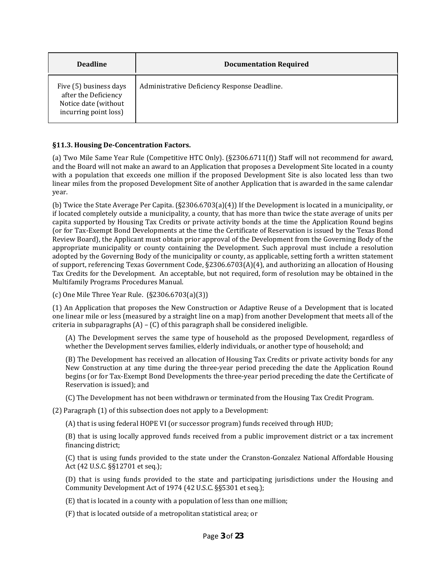| <b>Deadline</b>                                                                                 | <b>Documentation Required</b>                |
|-------------------------------------------------------------------------------------------------|----------------------------------------------|
| Five (5) business days<br>after the Deficiency<br>Notice date (without<br>incurring point loss) | Administrative Deficiency Response Deadline. |

#### **§11.3. Housing DeConcentration Factors.**

 and the Board will not make an award to an Application that proposes a Development Site located in a county with a population that exceeds one million if the proposed Development Site is also located less than two linear miles from the proposed Development Site of another Application that is awarded in the same calendar (a) Two Mile Same Year Rule (Competitive HTC Only). (§2306.6711(f)) Staff will not recommend for award, year.

 if located completely outside a municipality, a county, that has more than twice the state average of units per capita supported by Housing Tax Credits or private activity bonds at the time the Application Round begins Review Board), the Applicant must obtain prior approval of the Development from the Governing Body of the adopted by the Governing Body of the municipality or county, as applicable, setting forth a written statement Multifamily Programs Procedures Manual. (b) Twice the State Average Per Capita. (§2306.6703(a)(4)) If the Development is located in a municipality, or (or for Tax‐Exempt Bond Developments at the time the Certificate of Reservation is issued by the Texas Bond appropriate municipality or county containing the Development. Such approval must include a resolution of support, referencing Texas Government Code, §2306.6703(A)(4), and authorizing an allocation of Housing Tax Credits for the Development. An acceptable, but not required, form of resolution may be obtained in the

(c) One Mile Three Year Rule. (§2306.6703(a)(3))

 (1) An Application that proposes the New Construction or Adaptive Reuse of a Development that is located one linear mile or less (measured by a straight line on a map) from another Development that meets all of the criteria in subparagraphs  $(A) - (C)$  of this paragraph shall be considered ineligible.

(A) The Development serves the same type of household as the proposed Development, regardless of whether the Development serves families, elderly individuals, or another type of household; and

New Construction at any time during the three-year period preceding the date the Application Round (B) The Development has received an allocation of Housing Tax Credits or private activity bonds for any begins (or for Tax‐Exempt Bond Developments the three‐year period preceding the date the Certificate of Reservation is issued); and

(C) The Development has not been withdrawn or terminated from the Housing Tax Credit Program.

(2) Paragraph (1) of this subsection d oes not apply to a Development:

(A) that is using federal HOPE VI ( or successor program) funds received through HUD;

 (B) that is using locally approved funds received from a public improvement district or a tax increment financing district;

 (C) that is using funds provided to the state under the Cranston‐Gonzalez National Affordable Housing Act (42 U.S.C. §§12701 et seq.);

 (D) that is using funds provided to the state and participating jurisdictions under the Housing and Community Development Act of 1974 (42 U.S.C. §§5301 et seq.);

(E) that is located in a county with a population of less than one million;

(F) that is located outside of a metropolitan statistical area; or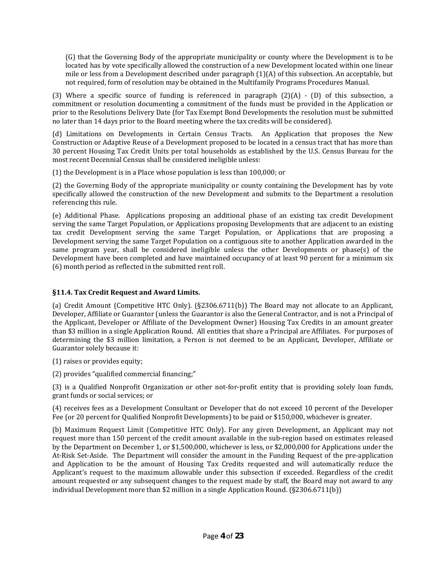(G) that the Governing Body of the appropriate municipality or county where the Development is to be mile or less from a Development described under paragraph (1)(A) of this subsection. An acceptable, but not required, form of resolution may be obtained in the Multifamily Programs Procedures Manual. located has by vote specifically allowed the construction of a new Development located within one linear

 prior to the Resolutions Delivery Date (for Tax Exempt Bond Developments the resolution must be submitted (3) Where a specific source of funding is referenced in paragraph  $(2)(A)$  -  $(D)$  of this subsection, a commitment or resolution documenting a commitment of the funds must be provided in the Application or no later than 14 days prior to the Board meeting where the tax credits will be considered).

 Construction or Adaptive Reuse of a Development proposed to be located in a census tract that has more than 30 percent Housing Tax Credit Units per total households as established by the U.S. Census Bureau for the (d) Limitations on Developments in Certain Census Tracts. An Application that proposes the New most recent Decennial Census shall be considered ineligible unless:

(1) the Development is in a Place whose population is less than 100,000; or

 (2) the Governing Body of the appropriate municipality or county containing the Development has by vote specifically allowed the construction of the new Development and submits to the Department a resolution referencing this rule.

 (e) Additional Phase. Applications proposing an additional phase of an existing tax credit Development serving the same Target Population, or Applications proposing Developments that are adjacent to an existing tax credit Development serving the same Target Population, or Applications that are proposing a Development serving the same Target Population on a contiguous site to another Application awarded in the Development have been completed and have maintained occupancy of at least 90 percent for a minimum six (6) month period as reflected in the submitted rent roll. same program year, shall be considered ineligible unless the other Developments or phase(s) of the

### **§11.4. Tax Credit Request and Award Limits.**

 (a) Credit Amount (Competitive HTC Only). (§2306.6711(b)) The Board may not allocate to an Applicant, the Applicant, Developer or Affiliate of the Development Owner) Housing Tax Credits in an amount greater than \$3 million in a single Application Round. All entities that share a Principal are Affiliates. For purposes of determining the \$3 million limitation, a Person is not deemed to be an Applicant, Developer, Affiliate or Developer, Affiliate or Guarantor (unless the Guarantor is also the General Contractor, and is not a Principal of Guarantor solely because i t:

(1) raises or provides equity ;

(2) provides "qualified commercial financing;"

 (3) is a Qualified Nonprofit Organization or other not‐for‐profit entity that is providing solely loan funds, grant funds or social services; or

 (4) receives fees as a Development Consultant or Developer that do not exceed 10 percent of the Developer Fee (or 20 percent for Qualified Nonprofit Developments) to be paid or \$150,000, whichever is greater.

 request more than 150 percent of the credit amount available in the sub‐region based on estimates released At-Risk Set-Aside. The Department will consider the amount in the Funding Request of the pre-application and Application to be the amount of Housing Tax Credits requested and will automatically reduce the Applicant's request to the maximum allowable under this subsection if exceeded. Regardless of the credit amount requested or any subsequent changes to the request made by staff, the Board may not award to any (b) Maximum Request Limit (Competitive HTC Only). For any given Development, an Applicant may not by the Department on December 1, or \$1,500,000, whichever is less, or \$2,000,000 for Applications under the individual Development more than \$2 million in a single Application Round. (§2306.6711(b))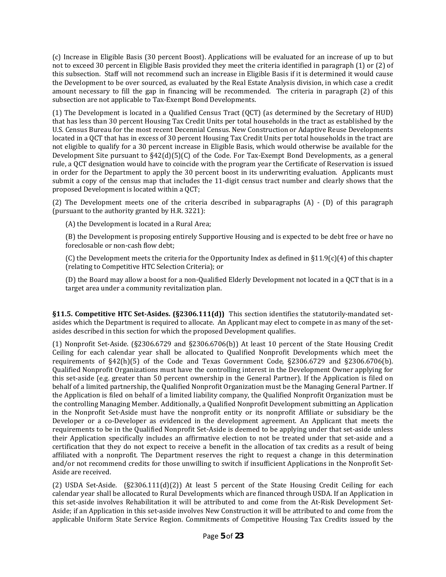(c) Increase in Eligible Basis (30 percent Boost). Applications will be evaluated for an increase of up to but not to exceed 30 percent in Eligible Basis provided they meet the criteria identified in paragraph (1) or (2) of this subsection. Staff will not recommend such an increase in Eligible Basis if it is determined it would cause t he Development to be over sourced, as evaluated by the Real Estate Analysis division, in which case a credit amount necessary to fill the gap in financing will be recommended. The criteria in paragraph (2) of this subsection are not applicable to Tax‐Exempt Bond Developments.

 (1) The Development is located in a Qualified Census Tract (QCT) (as determined by the Secretary of HUD) that has less than 30 percent Housing Tax Credit Units per total households in the tract as established by the U.S. Census Bureau for the most recent Decennial Census. New Construction or Adaptive Reuse Developments located in a QCT that has in excess of 30 percent Housing Tax Credit Units per total households in the tract are not eligible to qualify for a 30 percent increase in Eligible Basis, which would otherwise be available for the Development Site pursuant to  $$42(d)(5)(C)$  of the Code. For Tax-Exempt Bond Developments, as a general in order for the Department to apply the 30 percent boost in its underwriting evaluation. Applicants must submit a copy of the census map that includes the 11‐digit census tract number and clearly shows that the proposed Development is located within a QCT; rule, a QCT designation would have to coincide with the program year the Certificate of Reservation is issued

(2) The Development meets one of the criteria described in subparagraphs  $(A) - (D)$  of this paragraph (pursuant to the authority granted by H.R. 3221):

(A) the Development is located in a Rural Area;

 (B) the Development is proposing entirely Supportive Housing and is expected to be debt free or have no foreclosable or non‐cash flow debt;

(C) the Development meets the criteria for the Opportunity Index as defined in  $\S11.9(c)(4)$  of this chapter (relating to Competitive HTC Selection Criteria); or

 (D) the Board may allow a boost for a non‐Qualified Elderly Development not located in a QCT that is in a target area under a community revitalization plan.

 **§11.5. Competitive HTC SetAsides. (§2306.111(d))** This section identifies the statutorily‐mandated set‐ asides which the Department is required to allocate. An Applicant may elect to compete in as many of the set‐ asides described in this section for which the proposed Development qualifies.

 (1) Nonprofit Set‐Aside. (§2306.6729 and §2306.6706(b)) At least 10 percent of the State Housing Credit Ceiling for each calendar year shall be allocated to Qualified Nonprofit Developments which meet the requirements of §42(h)(5) of the Code and Texas Government Code, §2306.6729 and §2306.6706(b). Qualified Nonprofit Organizations must have the controlling interest in the Development Owner applying for the Application is filed on behalf of a limited liability company, the Qualified Nonprofit Organization must be the controlling Managing Member. Additionally, a Qualified Nonprofit Development submitting an Application in the Nonprofit Set‐Aside must have the nonprofit entity or its nonprofit Affiliate or subsidiary be the Developer or a co-Developer as evidenced in the development agreement. An Applicant that meets the their Application specifically includes an affirmative election to not be treated under that set-aside and a certification that they do not expect to receive a benefit in the allocation of tax credits as a result of being affiliated with a nonprofit. The Department reserves the right to request a change in this determination and/or not recommend credits for those unwilling to switch if insufficient Applications in the Nonprofit Set‐ this set-aside (e.g. greater than 50 percent ownership in the General Partner). If the Application is filed on behalf of a limited partnership, the Qualified Nonprofit Organization must be the Managing General Partner. If requirements to be in the Qualified Nonprofit Set‐Aside is deemed to be applying under that set‐aside unless Aside are received.

 (2) USDA Set‐Aside. (§2306.111(d)(2)) At least 5 percent of the State Housing Credit Ceiling for each calendar year shall be allocated to Rural Developments which are financed through USDA. If an Application in this set-aside involves Rehabilitation it will be attributed to and come from the At-Risk Development Set- Aside; if an Application in this set‐aside involves New Construction it will be attributed to and come from t he applicable Uniform State Service Region. Commitments of Competitive Housing Tax Credits issued by t he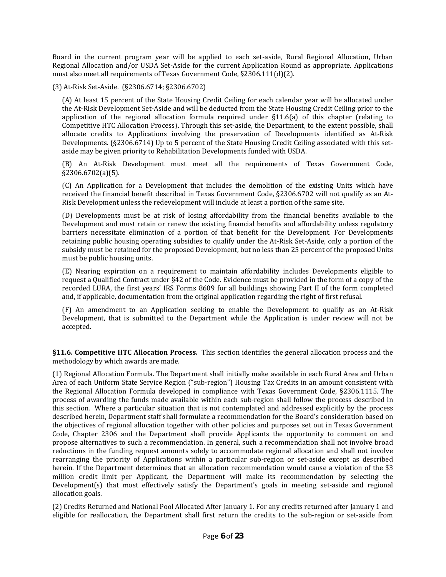Board in the current program year will be applied to each set‐aside, Rural Regional Allocation, Urban Regional Allocation and/or USDA Set‐Aside for the current Application Round as appropriate. Applications must also meet all requirements of Texas Government Code, §2306.111(d)(2).

(3) At‐Risk Set‐Aside. (§2306.6714; §2306.6702)

 (A) At least 15 percent of the State Housing Credit Ceiling for each calendar year will be allocated under the At‐Risk Development Set‐Aside and will be deducted from the State Housing Credit Ceiling prior to the Developments. (§2306.6714) Up to 5 percent of the State Housing Credit Ceiling associated with this set- aside may be given priority to Rehabilitation Developments funded with USDA. application of the regional allocation formula required under §11.6(a) of this chapter (relating to Competitive HTC Allocation Process). Through this set‐aside, the Department, to the extent possible, shall allocate credits to Applications involving the preservation of Developments identified as At‐Risk

 (B) An At‐Risk Development must meet all the requirements of Texas Government Code, §2306.6702(a)(5).

 (C) An Application for a Development that includes the demolition of the existing Units which have received the financial benefit described in Texas Government Code, §2306.6702 will not qualify as an At‐ Risk Development unless the redevelopment will include at least a portion of the same site.

 (D) Developments must be at risk of losing affordability from the financial benefits available to the Development and must retain or renew the existing financial benefits and affordability unless regulatory barriers necessitate elimination of a portion of that benefit for the Development. For Developments retaining public housing operating subsidies to qualify under the At-Risk Set-Aside, only a portion of the subsidy must be retained for the proposed Development, but no less than 25 percent of the proposed Units must be public housing units.

 (E) Nearing expiration on a requirement to maintain affordability includes Developments eligible to recorded LURA, the first years' IRS Forms 8609 for all buildings showing Part II of the form completed request a Qualified Contract under §42 of the Code. Evidence must be provided in the form of a copy of the and, if applicable, documentation from the original application regarding the right of first refusal.

 (F) An amendment to an Application seeking to enable the Development to qualify as an At‐Risk Development, that is submitted to the Department while the Application is under review will not be accepted.

 **§11.6. Competitive HTC Allocation Process.** This section identifies the general allocation process and the methodology by which awards are made.

 (1) Regional Allocation Formula. The Department shall initially make available in each Rural Area and Urban Area of each Uniform State Service Region ("sub‐region") Housing Tax Credits in an amount consistent with process of awarding the funds made available within each sub‐region shall follow the process described in this section. Where a particular situation that is not contemplated and addressed explicitly by the process the objectives of regional allocation together with other policies and purposes set out in Texas Government propose alternatives to such a recommendation. In general, such a recommendation shall not involve broad reductions in the funding request amounts solely to accommodate regional allocation and shall not involve rearranging the priority of Applications within a particular sub‐region or set‐aside except as described herein. If the Department determines that an allocation recommendation would cause a violation of the \$3 the Regional Allocation Formula developed in compliance with Texas Government Code, §2306.1115. The described herein, Department staff shall formulate a recommendation for the Board's consideration based on Code, Chapter 2306 and the Department shall provide Applicants the opportunity to comment on and million credit limit per Applicant, the Department will make its recommendation by selecting the Development(s) that most effectively satisfy the Department's goals in meeting set-aside and regional allocation goals.

(2) Credits Returned and National Pool Allocated After January 1. For any credits returned after January 1 and eligible for reallocation, the Department shall first return the credits to the sub-region or set-aside from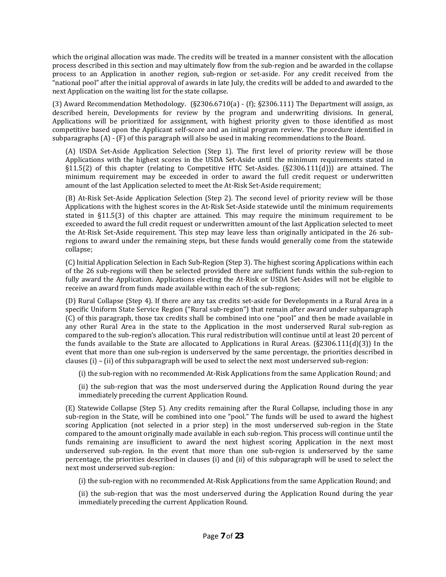which the original allocation was made. The credits will be treated in a manner consistent with the allocation process described in this section and may ultimately flow from the sub‐region and be awarded in the collapse process to an Application in another region, sub‐region or set‐aside. For any credit received from the "national pool" after the initial approval of awards in late July, the credits will be added to and awarded to the next Application on the waiting list for the state collapse.

 (3) Award Recommendation Methodology. (§2306.6710(a) ‐ (f); §2306.111) The Department will assign, as described herein, Developments for review by the program and underwriting divisions. In general, Applications will be prioritized for assignment, with highest priority given to those identified as most competitive based upon the Applicant self-score and an initial program review. The procedure identified in subparagraphs (A) - (F) of this paragraph will also be used in making recommendations to the Board.

 amount of the last Application selected to meet the At‐Risk Set‐Aside requirement; (A) USDA Set-Aside Application Selection (Step 1). The first level of priority review will be those Applications with the highest scores in the USDA Set‐Aside until the minimum requirements stated in §11.5(2) of this chapter (relating to Competitive HTC Set-Asides. (§2306.111(d))) are attained. The minimum requirement may be exceeded in order to award the full credit request or underwritten

stated in  $\S 11.5(3)$  of this chapter are attained. This may require the minimum requirement to be exceeded to award the full credit request or underwritten amount of the last Application selected to meet regions to award under the remaining steps, but these funds would generally come from the statewide (B) At‐Risk Set‐Aside Application Selection (Step 2). The second level of priority review will be those Applications with the highest scores in the At‐Risk Set‐Aside statewide until the minimum requirements the At-Risk Set-Aside requirement. This step may leave less than originally anticipated in the 26 subcollapse;

 (C) Initial Application Selection in Each Sub‐Region (Step 3). The highest scoring Applications within each of the 26 sub‐regions will then be selected provided there are sufficient funds within the sub‐region to fully award the Application. Applications electing the At‐Risk or USDA Set‐Asides will not be eligible to receive an award from funds made available within each of the sub-regions;

 (D) Rural Collapse (Step 4). If there are any tax credits set‐aside for Developments in a Rural Area in a specific Uniform State Service Region ("Rural sub‐region") that remain after award under subparagraph (C) of this paragraph, those tax credits shall be combined into one "pool" and then be made available in any other Rural Area in the state to the Application in the most underserved Rural sub‐region as the funds available to the State are allocated to Applications in Rural Areas.  $(S2306.111(d)(3))$  In the event that more than one sub-region is underserved by the same percentage, the priorities described in compared to the sub‐region's allocation. This rural redistribution will continue until at least 20 percent of clauses (i) – (ii) of this subparagraph will be used to select the next most underserved sub-region:

(i) the sub‐region with no recommended At‐Risk Applications from the same Application Round; and

 (ii) the sub‐region that was the most underserved during the Application Round during the year immediately preceding the current Application Round.

sub-region in the State, will be combined into one "pool." The funds will be used to award the highest scoring Application (not selected in a prior step) in the most underserved sub-region in the State compared to the amount originally made available in each sub‐region. This process will continue until the funds remaining are insufficient to award the next highest scoring Application in the next most percentage, the priorities described in clauses (i) and (ii) of this subparagraph will be used to select the (E) Statewide Collapse (Step 5). Any credits remaining after the Rural Collapse, including those in any underserved sub-region. In the event that more than one sub-region is underserved by the same next most underserved sub‐region:

(i) the sub‐region with no recommended At‐Risk Applications from the same Application Round; and

 (ii) the sub‐region that was the most underserved during the Application Round during the year immediately preceding the current Application Round.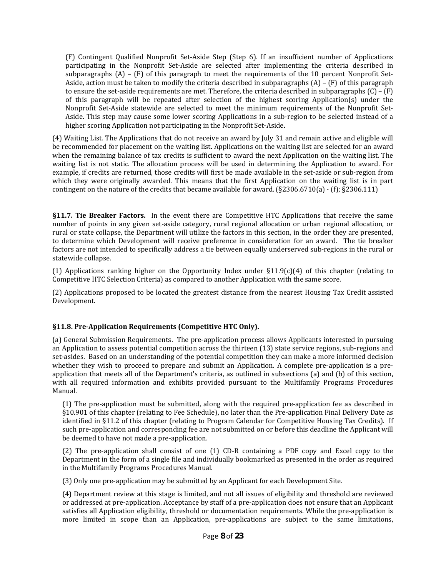(F) Contingent Qualified Nonprofit Set‐Aside Step (Step 6). If an insufficient number of Applications participating in the Nonprofit Set-Aside are selected after implementing the criteria described in subparagraphs  $(A)$  –  $(F)$  of this paragraph to meet the requirements of the 10 percent Nonprofit Set- Aside, action must be taken to modify the criteria described in subparagraphs (A) – (F) of this paragraph Aside. This step may cause some lower scoring Applications in a sub‐region to be selected instead of a to ensure the set-aside requirements are met. Therefore, the criteria described in subparagraphs  $(C) - (F)$ of this paragraph will be repeated after selection of the highest scoring Application(s) under the Nonprofit Set‐Aside statewide are selected to meet the minimum requirements of the Nonprofit Set‐ higher scoring Application not participating in the Nonprofit Set‐Aside.

 be recommended for placement on the waiting list. Applications on the waiting list are selected for an award when the remaining balance of tax credits is sufficient to award the next Application on the waiting list. The waiting list is not static. The allocation process will be used in determining the Application to award. For example, if credits are returned, those credits will first be made available in the set‐aside or sub‐region from (4) Waiting List. The Applications that do not receive an award by July 31 and remain active and eligible will which they were originally awarded. This means that the first Application on the waiting list is in part contingent on the nature of the credits that became available for award. (§2306.6710(a) ‐ (f); §2306.111)

**§11.7. Tie Breaker Factors.** In the event there are Competitive HTC Applications that receive the same rural or state collapse, the Department will utilize the factors in this section, in the order they are presented, to determine which Development will receive preference in consideration for an award. The tie breaker number of points in any given set-aside category, rural regional allocation or urban regional allocation, or factors are not intended to specifically address a tie between equally underserved sub‐regions in the rural or statewide collapse.

(1) Applications ranking higher on the Opportunity Index under  $\S11.9(c)(4)$  of this chapter (relating to Competitive HTC Selection Criteria) as compared to another Application with the same score.

 (2) Applications proposed to be located the greatest distance from the nearest Housing Tax Credit assisted Development.

#### **§11.8. PreApplication Requirements (Competitive HTC Only).**

 (a) General Submission Requirements. The pre‐application process allows Applicants interested in pursuing set-asides. Based on an understanding of the potential competition they can make a more informed decision application that meets all of the Department's criteria, as outlined in subsections (a) and (b) of this section, with all required information and exhibits provided pursuant to the Multifamily Programs Procedures an Application to assess potential competition across the thirteen (13) state service regions, sub‐regions and whether they wish to proceed to prepare and submit an Application. A complete pre-application is a pre-Manual.

§10.901 of this chapter (relating to Fee Schedule), no later than the Pre-application Final Delivery Date as identified in §11.2 of this chapter (relating to Program Calendar for Competitive Housing Tax Credits). If such pre‐application and corresponding fee are not submitted on or before this deadline the Applicant will be deemed to have not made a pre‐application. (1) The pre‐application must be submitted, along with the required pre‐application fee as described in

 $(2)$  The pre-application shall consist of one  $(1)$  CD-R containing a PDF copy and Excel copy to the Department in the form of a single file and individually bookmarked as presented in the order as required in the Multifamily Programs Procedures Manual.

(3) Only one pre‐application may be submitted by an Applicant for each Development Site.

 (4) Department review at this stage is limited, and not all issues of eligibility and threshold are reviewed or addressed at pre‐application. Acceptance by staff of a pre‐application does not ensure that an Applicant satisfies all Application eligibility, threshold or documentation requirements. While the pre-application is more limited in scope than an Application, pre-applications are subject to the same limitations,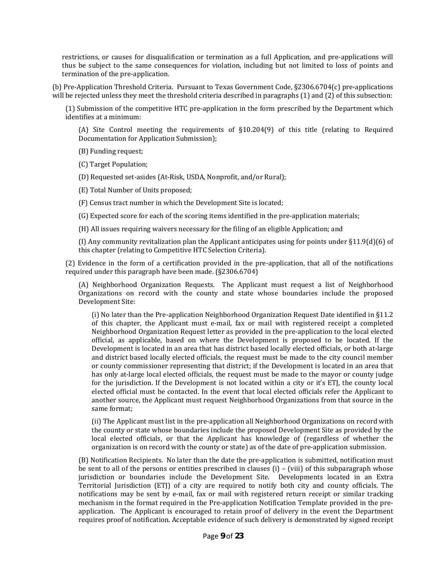thus be subject to the same consequences for violation, including but not limited to loss of points and restrictions, or causes for disqualification or termination as a full Application, and pre‐applications will termination of the pre‐application.

 (b) Pre‐Application Threshold Criteria. Pursuant to Texas Government Code, §2306.6704(c) pre‐applications will be rejected unless they meet the threshold criteria described in paragraphs (1) and (2) of this subsection:

 (1) Submission of the competitive HTC pre‐application in the form prescribed by the Department which identifies at a minimum:

 (A) Site Control meeting the requirements of §10.204(9) of this title (relating to Required Documentation for Application Submission);

(B) Funding request;

(C) Target Population;

(D) Requested set‐asides (At‐Risk, USDA, Nonprofit, and/or Rural);

(E) Total Number of Units proposed;

(F) Census tract number in which the Development Site is located;

(G) Expected score for each of the scoring items identified in the pre‐application materials;

(H) All issues requiring waivers necessary for the filing of an eligible Application; and

(I) Any community revitalization plan the Applicant anticipates using for points under §11.9(d)(6) of this chapter (relating to Competitive HTC Selection Criteria).

 (2) Evidence in the form of a certification provided in the pre‐application, that all of the notifications required under this paragraph have been made. (§2306.6704)

 (A) Neighborhood Organization Requests. The Applicant must request a list of Neighborhoo d Organizations on record with the county and state whose boundaries include the propose d Development Site:

 (i) No later than the Pre‐application Neighborhood Organization Request Date identified in §11.2 of this chapter, the Applicant must e-mail, fax or mail with registered receipt a completed Neighborhood Organization Request letter as provided in the pre‐application to the local elected Development is located in an area that has district based locally elected officials, or both at‐large and district based locally elected officials, the request must be made to the city council member or county commissioner representing that district; if the Development is located in an area that has only at-large local elected officials, the request must be made to the mayor or county judge elected official must be contacted. In the event that local elected officials refer the Applicant to another source, the Applicant must request Neighborhood Organizations from that source in the official, as applicable, based on where the Development is proposed to be located. If the for the jurisdiction. If the Development is not located within a city or it's ETJ, the county local same format;

 (ii) The Applicant must list in the pre‐application all Neighborhood Organizations on record with local elected officials, or that the Applicant has knowledge of (regardless of whether the organization is on record with the county or state) as of the date of pre‐application submission. the county or state whose boundaries include the proposed Development Site as provided by the

(B) Notification Recipients. No later than the date the pre-application is submitted, notification must be sent to all of the persons or entities prescribed in clauses (i) – (viii) of this subparagraph whose Territorial Jurisdiction (ETJ) of a city are required to notify both city and county officials. The notifications may be sent by e-mail, fax or mail with registered return receipt or similar tracking mechanism in the format required in the Pre-application Notification Template provided in the pre- application. The Applicant is encouraged to retain proof of delivery in the event the Department requires proof of notification. Acceptable evidence of such delivery is demonstrated by signed receipt jurisdiction or boundaries include the Development Site. Developments located in an Extra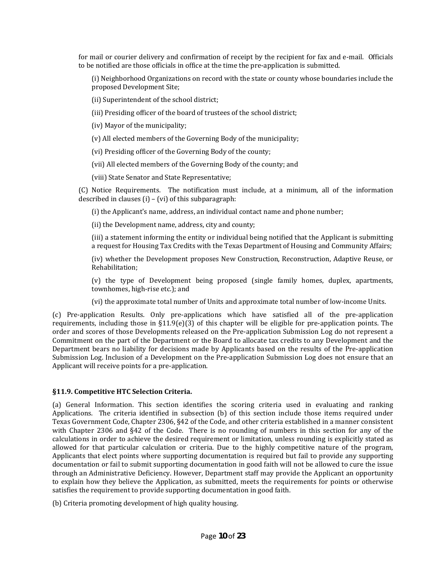to be notified are those officials in office at the time the pre‐application is submitted. for mail or courier delivery and confirmation of receipt by the recipient for fax and e-mail. Officials

 proposed Development Site; (i) Neighborhood Organizations on record with the state or county whose boundaries include the

(ii) Superintendent of the school district;

(iii) Presiding officer of the board of trustees of the school district;

(iv) Mayor of the municipality;

(v) All elected members of the Governing Body of the municipality;

(vi) Presiding officer of the Governing Body of the county;

(vii) All elected members of the Governing Body of the county; and

(viii) State Senator and State Representative;

 (C) Notice Requirements. The notification must include, at a minimum, all of the information described in clauses (i) – (vi) of this subparagraph:

(i) the Applicant's name, address, an individual contact name and phone number;

(ii) the Development name, address, city and county;

 (iii) a statement informing the entity or individual being notified that the Applicant is submitting a request for Housing Tax Credits with the Texas Department of Housing and Community Affairs;

 (iv) whether the Development proposes New Construction, Reconstruction, Adaptive Reuse, or Rehabilitation;

 (v) the type of Development being proposed (single family homes, duplex, apartments, townhomes, high‐rise etc.); and

(vi) the approximate total number of Units and approximate total number of low‐income Units.

 order and scores of those Developments released on the Pre‐application Submission Log do not represent a Commitment on the part of the Department or the Board to allocate tax credits to any Development and the Department bears no liability for decisions made by Applicants based on the results of the Pre-application (c) Pre‐application Results. Only pre‐applications which have satisfied all of the pre‐application requirements, including those in  $$11.9(e)(3)$  of this chapter will be eligible for pre-application points. The Submission Log. Inclusion of a Development on the Pre‐application Submission Log does not ensure that an Applicant will receive points for a pre‐application.

#### **§11.9. Competitive HTC Selection Criteria.**

with Chapter 2306 and §42 of the Code. There is no rounding of numbers in this section for any of the calculations in order to achieve the desired requirement or limitation, unless rounding is explicitly stated as Applicants that elect points where supporting documentation is required but fail to provide any supporting through an Administrative Deficiency. However, Department staff may provide the Applicant an opportunity to explain how they believe the Application, as submitted, meets the requirements for points or otherwise (a) General Information. This section identifies the scoring criteria used in evaluating and ranking Applications. The criteria identified in subsection (b) of this section include those items required under Texas Government Code, Chapter 2306, §42 of the Code, and other criteria established in a manner consistent allowed for that particular calculation or criteria. Due to the highly competitive nature of the program, documentation or fail to submit supporting documentation in good faith will not be allowed to cure the issue satisfies the requirement to provide supporting documentation in good faith.

(b) Criteria promoting development of high quality housing.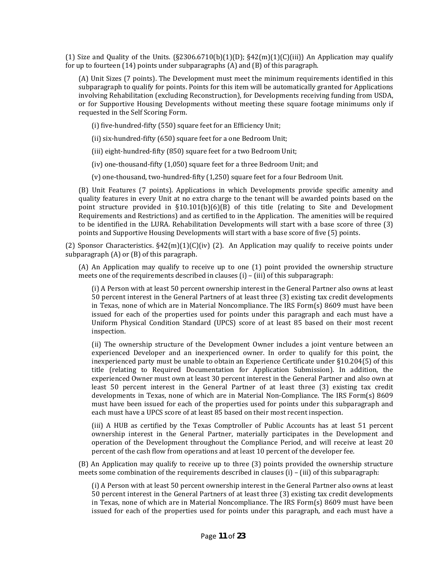(1) Size and Quality of the Units.  $(\S2306.6710(b)(1)(D); \S42(m)(1)(C(iii))$  An Application may qualify for up to fourteen (14) points under subparagraphs (A) and (B) of this paragraph.

 (A) Unit Sizes (7 points). The Development must meet the minimum requirements identified in this involvin g Rehabilitation (excluding Reconstruction), for Developments receiving funding from USDA, or for Supportive Housing Developments without meeting these square footage minimums only if requested in the Self Scoring Form. subparagraph to qualify for points. Points for this item will be automatically granted for Applications

(i) five‐hundred‐fifty (550) square feet for an Efficiency Unit;

(ii) six‐hundred‐fifty (650) square feet for a one Bedroom Unit;

(iii) eight‐hundred‐fifty (850) square feet for a two Bedroom Unit;

(iv) one‐thousand‐fifty (1,050) square feet for a three Bedroom Unit; and

(v) one‐thousand, two‐hundred‐fifty (1,250) square feet for a four Bedroom Unit.

 quality features in every Unit at no extra charge to the tenant will be awarded points based on the Requirements and Restrictions) and as certified to in the Application. The amenities will be required to be identified in the LURA. Rehabilitation Developments will start with a base score of three (3) points and Supportive Housing Developments will start with a base score of five (5) points. (B) Unit Features (7 points). Applications in which Developments provide specific amenity and point structure provided in  $\S10.101(b)(6)(B)$  of this title (relating to Site and Development

(2) Sponsor Characteristics.  $\S42(m)(1)(C)(iv)$  (2). An Application may qualify to receive points under subparagraph (A) or (B) of this paragraph.

 meets one of the requirements described in clauses (i) – (iii) of this subparagraph:  $(A)$  An Application may qualify to receive up to one  $(1)$  point provided the ownership structure

 (i) A Person with at least 50 percent ownership interest in the General Partner also owns at least 50 percent interest in the General Partners of at least three (3) existing tax credit developments in Texas, none of which are in Material Noncompliance. The IRS Form(s) 8609 must have been issued for each of the properties used for points under this paragraph and each must have a Uniform Physical Condition Standard (UPCS) score of at least 85 based on their most recent inspection.

 (ii) The ownership structure of the Development Owner includes a joint venture between an experienced Developer and an inexperienced owner. In order to qualify for this point, the experienced Owner must own at least 30 percent interest in the General Partner and also own at least 50 percent interest in the General Partner of at least three (3) existing tax credit developments in Texas, none of which are in Material Non-Compliance. The IRS Form(s) 8609 inexperienced party must be unable to obtain an Experience Certificate under §10.204(5) of this title (relating to Required Documentation for Application Submission). In addition, the must have been issued for each of the properties used for points under this subparagraph and each must have a UPCS score of at least 85 based on their most recent inspection.

 (iii) A HUB as certified by the Texas Comptroller of Public Accounts has at least 51 percent ownership interest in the General Partner, materially participates in the Development and operation of the Development throughout the Compliance Period, and will receive at least 20 percent of the cash flow from operations and at least 10 percent of the developer fee.

 (B) An Application may qualify to receive up to three (3) points provided the ownership structure meets some combination of the requirements described in clauses (i) – (iii) of this subparagraph:

 (i) A Person with at least 50 percent ownership interest in the General Partner also owns at least 50 percent interest in the General Partners of at least three (3) existing tax credit developments in Texas, none of which are in Material Noncompliance. The IRS Form(s) 8609 must have been issued for each of the properties used for points under this paragraph, and each must have a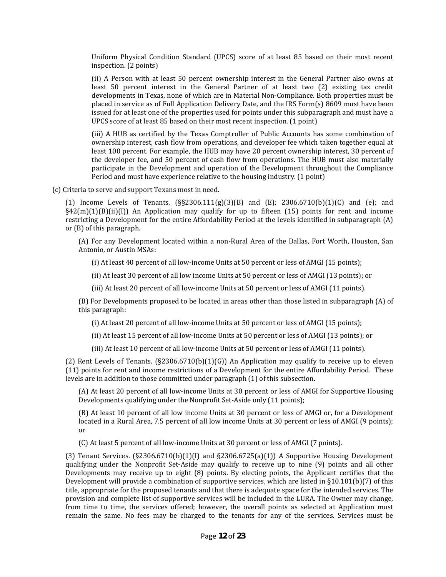Uniform Physical Condition Standard (UPCS) score of at least 85 based on their most recent inspection. (2 points)

 (ii) A Person with at least 50 percent ownership interest in the General Partner also owns at least 50 percent interest in the General Partner of at least two (2) existing tax credit placed in service as of Full Application Delivery Date, and the IRS Form(s) 8609 must have been issued for at least one of the properties used for points under this subparagraph and must have a developments in Texas, none of which are in Material Non‐Compliance. Both properties must be UPCS score of at least 85 based on their most recent inspection. (1 point)

 least 100 percent. For example, the HUB may have 20 percent ownership interest, 30 percent of the developer fee, and 50 percent of cash flow from operations. The HUB must also materially participate in the Development and operation of the Development throughout the Compliance (iii) A HUB as certified by the Texas Comptroller of Public Accounts has some combination of ownership interest, cash flow from operations, and developer fee which taken together equal at Period and must have experience relative to the housing industry. (1 point)

(c) Criteria to serve and support Texans most in need.

 §42(m)(1)(B)(ii)(I)) An Application may qualify for up to fifteen (15) points for rent and income restricting a Development for the entire Affordability Period at the levels identified in subparagraph (A) or (B) of this paragraph. (1) Income Levels of Tenants.  $(S_{52}^{2306.111(g)(3)(B)}$  and  $(E)$ ; 2306.6710(b)(1)(C) and (e); and

(A) For any Development located within a non-Rural Area of the Dallas, Fort Worth, Houston, San Antonio, or Austin MSAs:

(i) At least 40 percent of all low‐income Units at 50 percent or less of AMGI (15 po ints);

(ii) At least 30 percent of all low income Units at 50 percent or less of AMGI (13 points); or

(iii) At least 20 percent of all low‐income Units a t 50 percent or less of AMGI (11 points).

 (B) For Developments proposed to be located in areas other than those listed in subparagraph (A) of this paragraph:

(i) At least 20 percent of all low-income Units at 50 percent or less of AMGI (15 points);

(ii) At least 15 percent of all low‐income Units at 50 percent or less of AMGI (13 po ints); or

(iii) At least 10 percent of all low‐income Units at 50 percent or less of AMGI (11 points).

(2) Rent Levels of Tenants.  $(S2306.6710(b)(1)(G))$  An Application may qualify to receive up to eleven (11) points for rent and income restrictions of a Development for the entire Affordability Period. These levels are in addition to those committed under paragraph (1) of this subsection.

 (A) At least 20 percent of all low‐income Units at 30 percent or less of AMGI for Supportive Housing Developments qualifying under the Nonprofit Set-Aside only (11 points);

 (B) At least 10 percent of all low income Units at 30 percent or less of AMGI or, for a Development located in a Rural Area, 7.5 percent of all low income Units at 30 percent or less of AMGI (9 points); or

(C) At least 5 percent of all low‐income Units at 30 percent or less of AMGI (7 points).

(3) Tenant Services.  $(S2306.6710(b)(1)(I)$  and  $S2306.6725(a)(1))$  A Supportive Housing Development qualifying under the Nonprofit Set-Aside may qualify to receive up to nine (9) points and all other Developments may receive up to eight (8) points. By electing points, the Applicant certifies that the title, appropriate for the proposed tenants and that there is adequate space for the intended services. The remain the same. No fees may be charged to the tenants for any of the services. Services must be Development will provide a combination of supportive services, which are listed in §10.101(b)(7) of this provision and complete list of supportive services will be included in the LURA. The Owner may change, from time to time, the services offered; however, the overall points as selected at Application must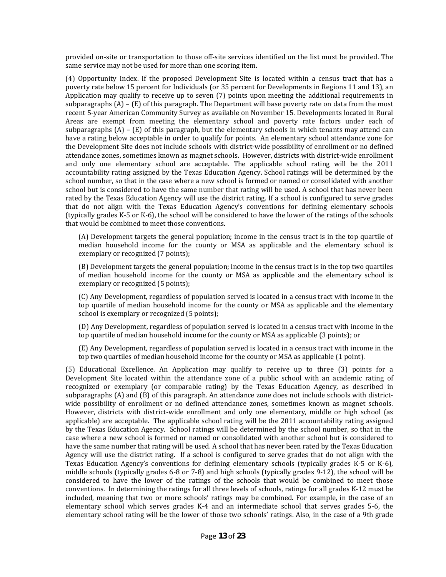provided on‐site or transportation to those off‐site services identified on the list must be provided. The same service may not be used for more than one scoring item.

 (4) Opportunity Index. If the proposed Development Site is located within a census tract that has a subparagraphs (A) – (E) of this paragraph. The Department will base poverty rate on data from the most Areas are exempt from meeting the elementary school and poverty rate factors under each of have a rating below acceptable in order to qualify for points. An elementary school attendance zone for the Development Site does not include schools with district-wide possibility of enrollment or no defined school number, so that in the case where a new school is formed or named or consolidated with another sc hoo l but is considered to have the same number that rating will be used. A school that has never been rated by the Texas Education Agency will use the district rating. If a school is configured to serve grades that do not align with the Texas Education Agency's conventions for defining elementary schools (typically grades K‐5 or K‐6), the school will be considered to have the lower of the ratings of the schools poverty rate below 15 percent for Individuals (or 35 percent for Developments in Regions 11 and 13), an Application may qualify to receive up to seven (7) points upon meeting the additional requirements in recent 5‐year American Community Survey as available on November 15. Developments located in Rural subparagraphs  $(A)$  –  $(E)$  of this paragraph, but the elementary schools in which tenants may attend can attendance zones, sometimes known as magnet schools. However, districts with district‐wide enrollment and only one elementary school are acceptable. The applicable school rating will be the 2011 accountability rating assigned by the Texas Education Agency. School ratings will be determined by the that would be combined to meet those conventions.

 (A) Development targets the general population; income in the census tract is in the top quartile of median household income for the county or MSA as applicable and the elementary school is exemplary or recognized (7 points);

(B) Development targets the general population; income in the census tract is in the top two quartiles of median household income for the county or MSA as applicable and the elementary school is exemplary or recognized (5 points);

 (C) Any Development, regardless of population served is located in a census tract with income in the top quartile of median household income for the county or MSA as applicable and the elementary school is exemplary or recognized (5 points);

 (D) Any Development, regardless of population served is located in a census tract with income in the top quartile of median household income for the county or MSA as applicable (3 points); or

 (E) Any Development, regardless of population served is located in a census tract with income in the top two quartiles of median household income for the county or MSA as applicable (1 point).

 (5) Educational Excellence. An Application may qualify to receive up to three (3) points for a Development Site located within the attendance zone of a public school with an academic rating of wide possibility of enrollment or no defined attendance zones, sometimes known as magnet schools. applicable) are acceptable. The applicable school rating will be the 2011 accountability rating assigned by the Texas Education Agency. School ratings will be determined by the school number, so that in the Agency will use the district rating. If a school is configured to serve grades that do not align with the middle schools (typically grades 6‐8 or 7‐8) and high schools (typically grades 9‐12), the school will be considered to have the lower of the ratings of the schools that would be combined to meet those conventions. In determining the ratings for all three levels of schools, ratings for all grades K‐12 must be included, meaning that two or more schools' ratings may be combined. For example, in the case of an elementary school which serves grades K-4 and an intermediate school that serves grades 5-6, the elementary school rating will be the lower of those two schools' ratings. Also, in the case of a 9th grade recognized or exemplary (or comparable rating) by the Texas Education Agency, as described in subparagraphs (A) and (B) of this paragraph. An attendance zone does not include schools with district-However, districts with district-wide enrollment and only one elementary, middle or high school (as case where a new school is formed or named or consolidated with another school but is considered to have the same number that rating will be used. A school that has never been rated by the Texas Education Texas Education Agency's conventions for defining elementary schools (typically grades K‐5 or K‐6),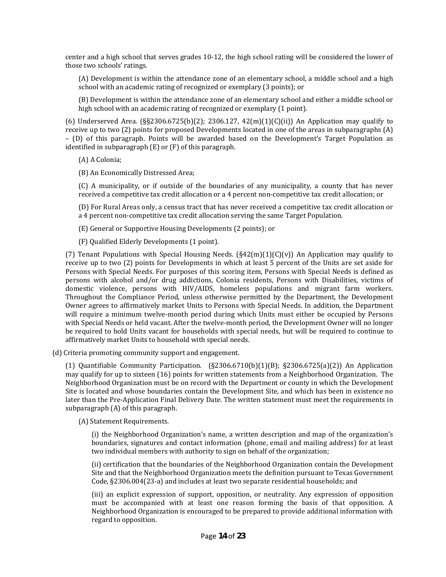center and a high school that serves grades 10‐12, the high school rating will be considered the lower of those two schools' ratings.

 (A) Development is within the attendance zone of an elementary school, a middle school and a high school with an academic rating of recognized or exemplary (3 points); or

 (B) Development is within the attendance zone of an elementary school and either a middle school or high school with an academic rating of recognized or exemplary (1 point).

 receive up to two (2) points for proposed Developments located in one of the areas in subparagraphs (A) – (D) of this paragraph. Points will be awarded based on the Development's Target Population as (6) Underserved Area. ( $\S$ §2306.6725(b)(2); 2306.127,  $42$ (m)(1)(C)(ii)) An Application may qualify to identified in subparagraph (E) or (F) of this paragraph.

(A) A Colonia;

(B) An Economically Distressed Area;

 (C) A municipality, or if outside of the boundaries of any municipality, a county that has never received a competitive tax credit allocation or a 4 percent non‐competitive tax credit allocation; or

 (D) For Rural Areas only, a census tract that has never received a competitive tax credit allocation or a 4 percent non‐competitive tax credit allocation serving the same Target Population.

(E) General or Supportive Housing Developments (2 points); or

(F) Qualified Elderly Developments (1 point).

 receive up to two (2) points for Developments in which at least 5 percent of the Units are set aside for Persons with Special Needs. For purposes of this scoring item, Persons with Special Needs is defined as domestic violence, persons with HIV/AIDS, homeless populations and migrant farm workers. Owner agrees to affirmatively market Units to Persons with Special Needs. In addition, the Department with Special Needs or held vacant. After the twelve‐month period, the Development Owner will no longer be required to hold Units vacant for households with special needs, but will be required to continue to (7) Tenant Populations with Special Housing Needs.  $(S42(m)(1)(C)(v))$  An Application may qualify to persons with alcohol and/or drug addictions, Colonia residents, Persons with Disabilities, victims of Throughout the Compliance Period, unless otherwise permitted by the Department, the Development will require a minimum twelve-month period during which Units must either be occupied by Persons affirmatively market Units to household with special needs.

(d) Criteria promoting community support and engagement.

 may qualify for up to sixteen (16) points for written statements from a Neighborhood Organization. The Neighborhood Organization must be on record with the Department or county in which the Development later than the Pre‐Application Final Delivery Date. The written statement must meet the requirements in (1) Quantifiable Community Participation.  $(S2306.6710(b)(1)(B)$ ;  $S2306.6725(a)(2))$  An Application Site is located and whose boundaries contain the Development Site, and which has been in existence no subparagraph (A) of this paragraph.

(A) Statement Requirements.

 (i) the Neighborhood Organization's name, a written description and map of the organization's boundaries, signatures and contact information (phone, email and mailing address) for at least two individual members with authority to sign on behalf of the organization;

 (ii) certification that the boundaries of the Neighborhood Organization contain the Development Site and that the Neighborhood Organization meets the definition pursuant to Texas Government Code, §2306.004(23‐a) and includes at least two separate residential households; and

must be accompanied with at least one reason forming the basis of that opposition. A (iii) an explicit expression of support, opposition, or neutrality. Any expression of opposition Neighborhood Organization is encouraged to be prepared to provide additional information with regard to opposition.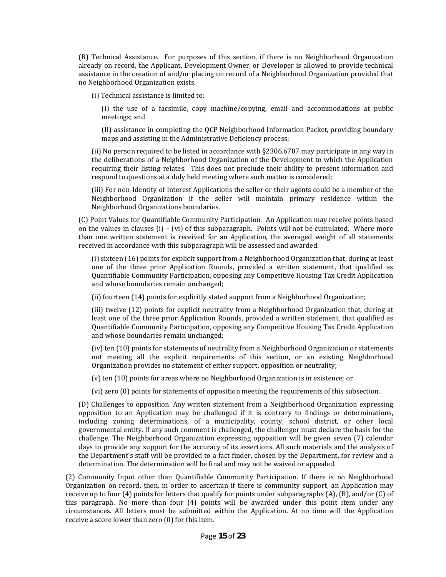already on record, the Applicant, Development Owner, or Developer is allowed to provide technical assistance in the creation of and/or placing on record of a Neighborhood Organization provided that (B) Technical Assistance. For purposes of this section, if there is no Neighborhood Organization no Neighborhood Organization exists.

(i) Technical assistance is limited to:

 (I) the use of a facsimile, copy machine/copying, email and accommodations at public meetings; and

(II) assistance in completing the QCP Neighborhood Information Packet, providing boundary maps and assisting in the Administrative Deficiency process;

 requiring their listing relates. This does not preclude their ability to present information and (ii) No person required to be listed in accordance with §2306.6707 may participate in any way in the deliberations of a Neighborhood Organization of the Development to which the Application respond to questions at a duly held meeting where such matter is considered;

(iii) For non-Identity of Interest Applications the seller or their agents could be a member of the Neighborhood Organization if the seller will maintain primary residence within the Ne i g hb orhoo d Organizations boundaries.

 (C) Point Values for Quantifiable Community Participation. An Application may receive points based on the values in clauses (i) – (vi) of this subparagraph. Points will not be cumulated. Where more than one written statement is received for an Application, the averaged weight of all statements received in accordance with this subparagraph will be assessed and awarded.

 one of the three prior Application Rounds, provided a written statement, that qualified as Quantifiable Community Participation, opposing any Competitive Housing Tax Credit Application (i) sixteen (16) points for explicit support from a Neighborhood Organization that, during at least and whose boundaries remain unchanged;

(ii) fourteen (14) points for explicitly stated support from a Neighborhood Organization;

 least one of the three prior Application Rounds, provided a written statement, that qualified as Quantifiable Community Participation, opposing any Competitive Housing Tax Credit Application (iii) twelve (12) points for explicit neutrality from a Neighborhood Organization that, during at and whose boundaries remain unchanged;

(iv) ten (10) points for statements of neutrality from a Neighborhood Organization or statements not meeting all the explicit requirements of this section, or an existing Neighborhood Organization provides no statement of eith er support, opposition or neutrality;

(v) ten (10) points for areas where no Neig hborhood Organization is in existence; or

(vi) zero (0) points for statements of opposition meeting the requirements of this subsection.

 (D) Challenges to opposition. Any written statement from a Neighborhood Organization expressing opposition to an Application may be challenged if it is contrary to findings or determinations, governmental entity. If any such comment is challenged, the challenger must declare the basis for the the Department's staff will be provided to a fact finder, chosen by the Department, for review and a including zoning determinations, of a municipality, county, school district, or other local challenge. The Neighborhood Organization expressing opposition will be given seven (7) calendar days to provide any support for the accuracy of its assertions. All such materials and the analysis of determination. The determination will be final and may not be waived or appealed.

 (2) Community Input other than Quantifiable Community Participation. If there is no Neighborhood Organization on record, then, in order to ascertain if there is community support, an Application may receive up to four (4) points for letters that qualify for points under subparagraphs (A), (B), and/or (C) of this paragraph. No more than four (4) points will be awarded under this point item under any circumstances. All letters must be submitted within the Application. At no time will the Application receive a score lower than zero (0) for this item.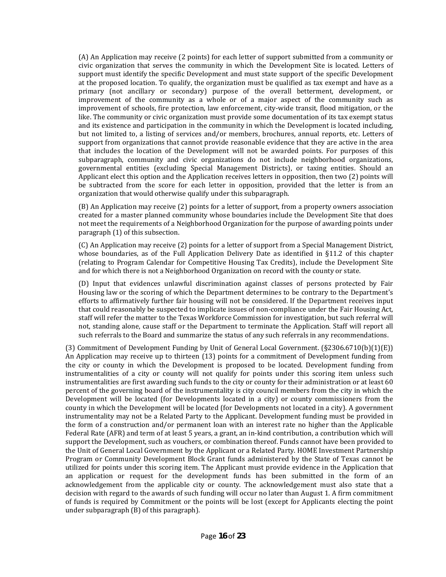(A) An Application may receive (2 points) for each letter of support submitted from a community or civic organization that serves the community in which the Development Site is located. Letters of support must identify the specific Development and must state support of the specific Development primary (not ancillary or secondary) purpose of the overall betterment, development, or improvement of the community as a whole or of a major aspect of the community such as improvement of schools, fire protection, law enforcement, city-wide transit, flood mitigation, or the like. The community or civic organization must provide some documentation of its tax exempt status support from organizations that cannot provide reasonable evidence that they are active in the area that includes the location of the Development will not be awarded points. For purposes of this subparagraph, community and civic organizations do not include neighborhood organizations, governmental entities (excluding Special Management Districts), or taxing entities. Should an Applicant elect this option and the Application receives letters in opposition, then two (2) points will be subtracted from the score for each letter in opposition, provided that the letter is from an organization that would otherwise qualify under this subparagraph. at the proposed location. To qualify, the organization must be qualified as tax exempt and have as a and its existence and participation in the community in which the Development is located including, but not limited to, a listing of services and/or members, brochures, annual reports, etc. Letters of

 (B) An Application may receive (2) points for a letter of support, from a property owners association created for a master planned community whose boundaries include the Development Site that does paragraph (1) of this subsection. not meet the requirements of a Neighborhood Organization for the purpose of awarding points under

 (C) An Application may receive (2) points for a letter of support from a Special Management District, and for which there is not a Neighborhood Organization on record with the county or state. whose boundaries, as of the Full Application Delivery Date as identified in §11.2 of this chapter (relating to Program Calendar for Competitive Housing Tax Credits), include the Development Site

 Housing law or the scoring of which the Department determines to be contrary to the Department's staff will refer the matter to the Texas Workforce Commission for investigation, but such referral wi ll not, standing alone, cause staff or the Department to terminate the Application. Staff will report all (D) Input that evidences unlawful discrimination against classes of persons protected by Fair efforts to affirmatively further fair housing will not be considered. If the Department receives input that could reasonably be suspected to implicate issues of non‐compliance under the Fair Housing Act, such referrals to the Board and summarize the status of any such referrals in any recommendations.

 (3) Commitment of Development Funding by Unit of General Local Government. (§2306.6710(b)(1)(E)) An Application may receive up to thirteen (13) points for a commitment of Development funding from the city or county in which the Development is proposed to be located. D evelopment funding from instrumentalities of a city or county will not qualify for points under this scoring item unless such percent of the governing board of the instrumentality is city council members from the city in which the Development will be located (for Developments located in a city) or county commissioners from the county in which the Development will be located (for Developments not located in a city). A government instrumentality may not be a Related Party to the Applicant. Development funding must be provided in the form of a construction and/or permanent loan with an interest rate no higher than the Applicable Federal Rate (AFR) and term of at least 5 years, a grant, an in‐kind contribution, a contribution which will the Unit of General Local Government by the Applicant or a Related Party. HOME Investment Partnership Program or Community Development Block Grant funds administered by the State of Texas cannot be utilized for points under this scoring item. The Applicant must provide evidence in the Application that an application or request for the development funds has been submitted in the form of an acknowledgement from the applicable city or county. The acknowledgement must also state that a decision with regard to the awards of such funding will occur no later than August 1. A firm commitment instrumentalities are first awarding such funds to the city or county for their administration or at least 60 support the Development, such as vouchers, or combination thereof. Funds cannot have been provided to of funds is required by Commitment or the points will be lost (except for Applicants electing the point under subparagraph (B) of this paragraph).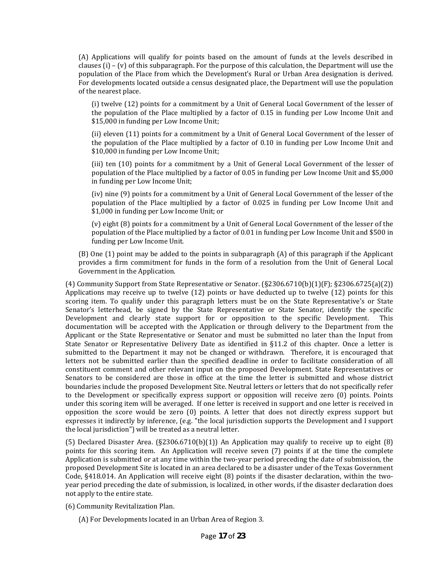population of the Place from which the Development's Rural or Urban Area designation is derived. For developments located outside a census designated place, the Department will use the population (A) Applications will qualify for points based on the amount of funds at the levels described in clauses (i) – (v) of this subparagraph. For the purpose of this calculation, the Department will use the of the nearest place.

 (i) twelve (12) points for a commitment by a Unit of General Local Government of the lesser of the population of the Place multiplied by a factor of 0.15 in funding per Low Income Unit and \$15,000 in funding per Low Income Unit;

 (ii) eleven (11) points for a commitment by a Unit of General Local Government of the lesser of the population of the Place multiplied by a factor of 0.10 in funding per Low Income Unit and \$10,000 in funding per Low Income Unit;

 (iii) ten (10) points for a commitment by a Unit of General Local Government of the lesser of population of the Place multiplied by a factor of 0.05 in funding per Low Income Unit and \$5,000 in funding per Low Income Unit;

 (iv) nine (9) points for a commitment by a Unit of General Local Government of the lesser of the population of the Place multiplied by a factor of 0.025 in funding per Low Income Unit and \$1,000 in funding per Low Income Unit; or

 (v) eight (8) points for a commitment by a Unit of General Local Government of the lesser of the population of the Place multiplied by a factor of 0.01 in funding per Low Income Unit and \$500 in funding per Low Income Unit.

 provides a firm commitment for funds in the form of a resolution from the Unit of General Local (B) One (1) point may be added to the points in subparagraph (A) of this paragraph if the Applicant Government in the Application.

Applications may receive up to twelve (12) points or have deducted up to twelve (12) points for this Senator's letterhead, be signed by the State Representative or State Senator, identify the specific Development and clearly state support for or opposition to the specific Development. This Applicant or the State Representative or Senator and must be submitted no later than the Input from State Senator or Representative Delivery Date as identified in  $\S 11.2$  of this chapter. Once a letter is submitted to the Department it may not be changed or withdrawn. Therefore, it is encouraged that letters not be submitted earlier than the specified deadline in order to facilitate consideration of all constituent comment and other relevant input on the proposed Development. State Representatives or to the Development or specifically express support or opposition will receive zero (0) points. Points under this scoring item will be averaged. If one letter is received in support and one letter is received in opposition the score would be zero (0) points. A letter that does not directly express support but (4) Community Support from State Representative or Senator. (§2306.6710(b)(1)(F); §2306.6725(a)(2)) scoring item. To qualify under this paragraph letters must be on the State Representative's or State documentation will be accepted with the Application or through delivery to the Department from the Senators to be considered are those in office at the time the letter is submitted and whose district boundaries include the proposed Development Site. Neutral letters or letters that do not specifically refer expresses it indirectly by inference, (e.g. "the local jurisdiction supports the Development and I support the local jurisdiction") will be treated as a neutral letter.

(5) Declared Disaster Area.  $(S2306.6710(b)(1))$  An Application may qualify to receive up to eight  $(8)$ points for this scoring item. An Application will receive seven (7) points if at the time the complete Application is submitted or at any time within the two‐year period preceding the date of submission, the proposed Development Site is located in an area declared to be a disaster under of the Texas Government Code, §418.014. An Application will receive eight (8) points if the disaster declaration, within the twoyear period preceding the date of submission, is localized, in other words, if the disaster declaration does not apply to the entire state.

(6) Community Revitalization Plan.

(A) For Developments located in an Urban Area of Region 3.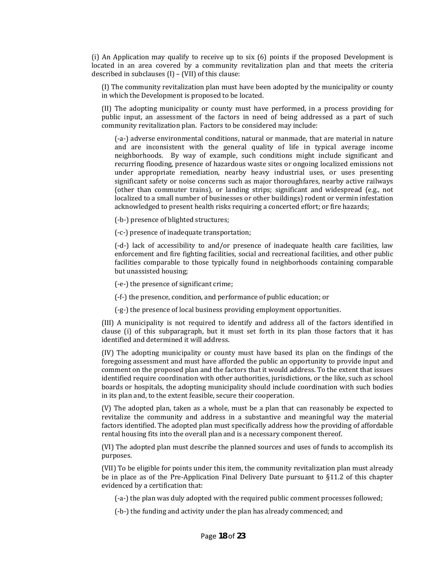(i) An Application may qualify to receive up to six (6) points if the proposed Development is described in subclauses (I) – (VII) of this clause: located in an area covered by a community revitalization plan and that meets the criteria

 in which the Development is proposed to be located. (I) The community revitalization plan must have been adopted by the municipality or county

 (II) The adopting municipality or county must have performed, in a process providing for public input, an assessment of the factors in need of being addressed as a part of such community revitalization plan. Factors to be considered may include:

 (‐a‐) adverse environmental conditions, natural or manmade, that are material in nature and are inconsistent with the general quality of life in typical average income significant safety or noise concerns such as major thoroughfares, nearby active railways (other than commuter trains), or landing strips; significant and widespread (e.g., not neighborhoods. By way of example, such conditions might include significant and recurring flooding, presence of hazardous waste sites or ongoing localized emissions not under appropriate remediation, nearby heavy industrial uses, or uses presenting localized to a small number of businesses or other buildings) rodent or vermin infestation acknowledged to present health risks requiring a concerted effort; or fire hazards;

(‐b‐) presence of blighted structures;

(‐c‐) presence of inadequate transportation;

facilities comparable to those typically found in neighborhoods containing comparable (‐d‐) lack of accessibility to and/or presence of inadequate health care facilities, law enforcement and fire fighting facilities, social and recreational facilities, and other public but unassisted housing;

(‐e‐) the presence of significant crime;

(-f-) the presence, condition, and performance of public education; or

(‐g‐) the presence of local business providing employment opportunities.

clause (i) of this subparagraph, but it must set forth in its plan those factors that it has identified and determined it will address. (III) A municipality is not required to identify and address all of the factors identified in

 (IV) The adopting municipality or county must have based its plan on the findings of the foregoing assessment and must have afforded the public an opportunity to provide input and comment on the proposed plan and the factors that it would address. To the extent that issues identified require coordination with other authorities, jurisdictions, or the like, such as school in its plan and, to the extent feasible, secure their cooperation. boards or hospitals, the adopting municipality should include coordination with such bodies

 (V) The adopted plan, taken as a whole, must be a plan that can reasonably be expected to revitalize the community and address in a substantive and meaningful way the material factors identified. The adopted plan must specifically address how the providing of affordable rental housing fits into the overall plan and is a necessary component thereof.

 (VI) The adopted plan must describe the planned sources and uses of funds to accomplish its purposes.

 (VII) To be eligible for points under this item, the community revitalization plan must already be in place as of the Pre-Application Final Delivery Date pursuant to §11.2 of this chapter evidenced by a certification that:

(‐a‐) the plan was duly adopted with the required public comment processes followed;

(‐b‐) the funding and activity under the plan has already commenced; and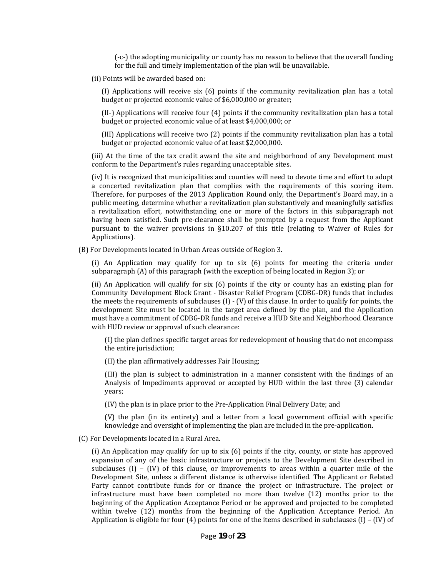(‐c‐) the adopting municipality or county has no reason to believe that the overall funding for the full and timely implementation of the plan will be unavailable.

(ii) Points will be awarded based on:

(I) Applications will receive six (6) points if the community revitalization plan has a total budget or projected economic value of \$6,000,000 or greater;

 (II‐) Applications will receive four (4) points if the community revitalization plan has a total budget or projected economic value of at l east \$4,000,000; or

 (III) Applications will receive two (2) points if the community revitalization plan has a total budget or projected economic value of at least \$2,000,000.

 conform to the Department's rules regarding unacceptable sites. (iii) At the time of the tax credit award the site and neighborhood of any Development must

 (iv) It is recognized that municipalities and counties will need to devote time and effort to adopt a concerted revitalization plan that complies with the requirements of this scoring item. a revitalization effort, notwithstanding one or more of the factors in this subparagraph not having been satisfied. Such pre-clearance shall be prompted by a request from the Applicant pursuant to the waiver provisions in §10.207 of this title (relating to Waiver of Rules for Therefore, for purposes of the 2013 Application Round only, the Department's Board may, in a public meeting, determine whether a revitalization plan substantively and meaningfully satisfies Applications).

(B) For Developments located in Urban Areas outside of Region 3.

 (i) An Application may qualify for up to six (6) points for meeting the criteria under subparagraph (A) of this paragraph (with the exception of being located in Region 3); or

 (ii) An Application will qualify for six (6) points if the city or county has an existing plan for Community Development Block Grant ‐ Disaster Relief Program (CDBG‐DR) funds that includes the meets the requirements of subclauses (I) ‐ (V) of this clause. In order to qualify for points, the development Site must be located in the target area defined by the plan, and the Application must have a commitment of CDBG‐DR funds and receive a HUD Site and Neighborhood Clearance with HUD review or approval of such clearance:

(I) the plan defines specific target areas for redevelopment of housing that do not encompass the entire jurisdiction;

(II) the plan affirmatively addresses Fair Housing;

 (III) the plan is subject to administration in a manner consistent with the findings of an Analysis of Impediments approved or accepted by HUD within the last three (3) calendar years;

(IV) the plan is in place prior to the Pre‐Application Final Delivery Date; and

 (V) the plan (in its entirety) and a letter from a local government official with specific knowledge and oversight of implementing the plan are included in the pre‐application.

(C) For Developments located in a Rural Area.

subclauses  $(I)$  –  $(IV)$  of this clause, or improvements to areas within a quarter mile of the Development Site, unless a different distance is otherwise identified. The Applicant or Related infrastructure must have been completed no more than twelve (12) months prior to the within twelve (12) months from the beginning of the Application Acceptance Period. An (i) An Application may qualify for up to six (6) points if the city, county, or state has approved expansion of any of the basic infrastructure or projects to the Development Site described in Party cannot contribute funds for or finance the project or infrastructure. The project or beginning of the Application Acceptance Period or be approved and projected to be completed Application is eligible for four  $(4)$  points for one of the items described in subclauses  $(1) - (IV)$  of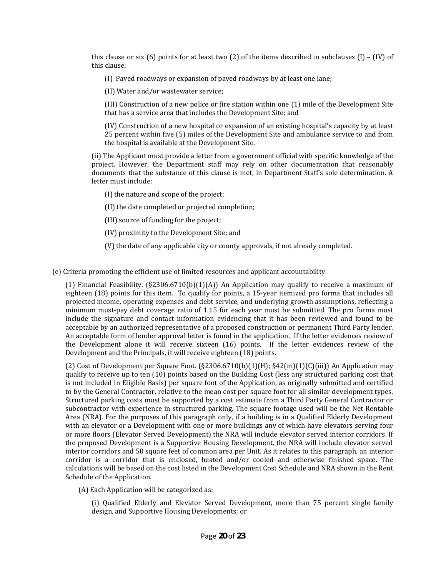this clause or six (6) points for at least two (2) of the items described in subclauses (I) – (IV) of this clause:

(I) Paved roadways or expansion of paved roadways by at least one lane;

(II) Water and/or wastewater service;

 that has a service area that includes the Development Site; and (III ) Construction of a new police or fire station within one (1) mile of the Development Site

 (IV) Construction of a new hospital or expansion of an existing hospital's capacity by at least 25 percent within five (5) miles of the Development Site and ambulance service to and from the hospital is available at the Development Site.

 project. However, the Department staff may rely on other documentation that reasonably documents that the substance of this clause is met, in Department Staff's sole determination. A (ii) The Applicant must provide a letter from a government official with specific knowledge of the letter must include:

(I) the nature and scope of the project;

(II) the date completed or projected compl etion;

(III) source of funding for the project;

(IV) proximity to the Development Site; and

(V) the date of any applicable city or county approvals, if not already completed.

(e) Criteria promoting the efficient use of limited resources and applicant accountability.

(1) Financial Feasibility.  $(S2306.6710(b)(1)(A))$  An Application may qualify to receive a maximum of eighteen (18) points for this item. To qualify for points, a 15‐year itemized pro forma that includes all include the signature and contact information evidencing that it has been reviewed and found to be An acceptable form of lender approval letter is found in the application. If the letter evidences review of the Development alone it will receive sixteen (16) points. If the letter evidences review of the projected income, operating expenses and debt service, and underlying growth assumptions, reflecting a minimum must-pay debt coverage ratio of 1.15 for each year must be submitted. The pro forma must acceptable by an authorized representative of a proposed construction or permanent Third Party lender. Development and the Principals, it will receive eighteen (18) points.

(2) Cost of Development per Square Foot.  $(S2306.6710(b)(1)(H); S42(m)(1)(C(iii))$  An Application may qualify to receive up to ten (10) points based on the Building Cost (less any structured parking cost that is not included in Eligible Basis) per square foot of the Application, as originally submitted and certified to by the General Contractor, relative to the mean cost per square foot for all similar development types. Structured parking costs must be supported by a cost estimate from a Third Party General Contractor or subcontractor with experience in structured parking. The square footage used will be the Net Rentable Area (NRA). For the purposes of this paragraph only, if a building is in a Qualified Elderly Development with an elevator or a Development with one or more buildings any of which have elevators serving four the proposed Development is a Supportive Housing Development, the NRA will include elevator served interior corridors and 50 square feet of common area per Unit. As it relates to this paragraph, an interior corridor is a corridor that is enclosed, heated and/or cooled and otherwise finished space. The or more floors (Elevator Served Development) the NRA will include elevator served interior corridors. If calculations will be based on the cost listed in the Development Cost Schedule and NRA shown in the Rent Schedule of th e Application.

(A) Eac h Application will be categorized as:

 design, and Supportive Housing Developments; or (i) Qualified Elderly and Elevator Served Development, more than 75 percent single family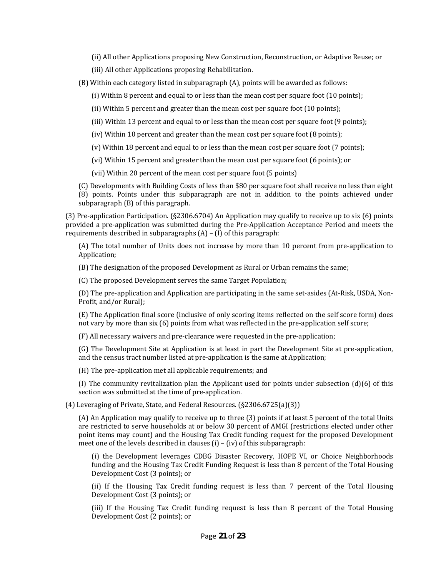- (ii) All other Applications proposing New Construction, Reconstruction, or Adaptive Reuse; or
- (iii) All ot her Applications proposing Rehabilitation.
- (B) Within each category listed in subparagraph (A), points will be awarded as follows:
	- (i) Within 8 percent and equal to or less than the mean cost per square foot (10 points);
	- (ii) Within 5 percent and greater than the mean cost per square foot (10 points);
	- (iii) Within 13 percent and equal to or less than the mean cost per square foot (9 points);
	- (iv) Within 10 percent and greater than the mean cost per square foot (8 points);
	- (v) Within 18 percent and equal to or less than the mean cost per square foot (7 points);
	- (vi) Within 15 percent and greater than the mean cost per square foot (6 points); or
	- (vii) Within 20 percent of the mean cost per square foot (5 points)

(C) Developments with Building Costs of less than \$80 per square foot shall receive no less than eight

 (8) points. Points under this subparagraph are not in addition to the points achieved under subparagraph (B) of this paragraph.

 (3) Pre‐application Participation. (§2306.6704) An Application may qualify to receive up to six (6) points provided a pre-application was submitted during the Pre-Application Acceptance Period and meets the requirements described in subparagraphs (A) – (I) of this paragraph:

(A) The total number of Units does not increase by more than 10 percent from pre-application to Application;

(B) The designation of the proposed Development as Rural or Urban remains the same;

(C) The proposed Development serves the same Target Population;

(D) The pre-application and Application are participating in the same set-asides (At-Risk, USDA, Non-Profit, and/or Rural);

not vary by more than six (6) points from what was reflected in the pre-application self score; (E) The Application final score (inclusive of only scoring items reflected on the self score form) does

(F) All necessary waivers and pre‐clearance were requested in the pre‐application;

 (G) The Development Site at Application is at least in part the Development Site at pre‐application, and the census tract number listed at pre‐application is the same at Application;

(H) The pre‐application met all applicable requirements; and

(I) The community revitalization plan the Applicant used for points under subsection  $(d)(6)$  of this section was submitted at the time of pre-application.

(4) Leveraging of Private, State, and Federal Resources. (§2306.6725(a)(3))

 (A) An Application may qualify to receive up to three (3) points if at least 5 percent of the total Units are restricted to serve households at or below 30 percent of AMGI (restrictions elected under other point items may count) and the Housing Tax Credit funding request for the proposed Development meet one of the levels described in clauses (i) – (iv) of this subparagraph:

 funding and the Housing Tax Credit Funding Request is less than 8 percent of the Total Housing (i) the Development leverages CDBG Disaster Recovery, HOPE VI, or Choice Neighborhoods Development Cost (3 points); or

 (ii) If the Housing Tax Credit funding request is less than 7 percent of the Total Housing Development Cost (3 points); or

 (iii) If the Housing Tax Credit funding request is less than 8 percent of the Total Housing Development Cost (2 points); or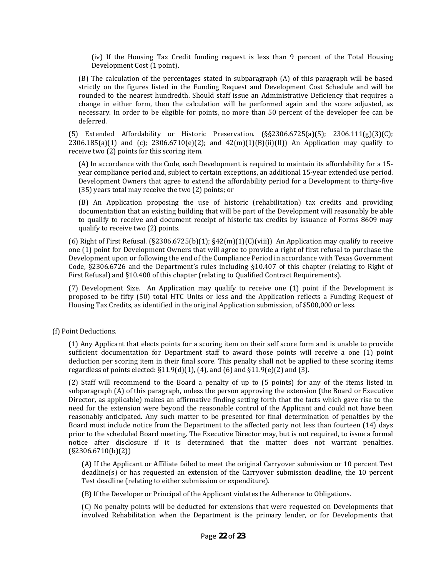(iv) If the Housing Tax Credit funding request is less than 9 percent of the Total Housing Development Cost (1 point).

 (B) The calculation of the percentages stated in subparagraph (A) of this paragraph will be based strictly on the figures listed in the Funding Request and Development Cost Schedule and will be rounded to the nearest hundredth. Should staff issue an Administrative Deficiency that requires a change in either form, then the calculation will be performed again and the score adjusted, as necessary. In order to be eligible for points, no more than 50 percent of the developer fee can be deferred.

(5) Extended Affordability or Historic Preservation.  $(S_{52}^S2306.6725(a)(5); 2306.111(g)(3)(C);$ 2306.185(a)(1) and (c):  $2306.6710(e)(2)$ ; and  $42(m)(1)(B)(ii)(II)$ ) An Application may qualify to receive two (2) points for this scoring item.

 (A) In accordance with the Code, each Development is required to maintain its affordability for a 15‐ year compliance period and, subject to certain exceptions, an additional 15‐year extended use period. Development Owners that agree to extend the affordability period for a Development to thirty-five (35) years total may receive the two (2) points; or

(B) An Application proposing the use of historic (rehabilitation) tax credits and providing documentation that an existing building that will be part of the Development will reasonably be able to qualify to receive and document receipt of historic tax credits by issuance of Forms 8609 may qualify to receive two (2) points.

(6) Right of First Refusal. ( $\S2306.6725(b)(1)$ ;  $\S42(m)(1)(C)(viii)$ ) An Application may qualify to receive one (1) point for Development Owners that will agree to provide a right of first refusal to purchase the Development upon or following the end of the Compliance Period in accordance with Texas Government Code, §2306.6726 and the Department's rules including §10.407 of this chapter (relating to Right of First Refusal) and §10.408 of this chapter (relating to Qualified Contract Requirements).

 (7) Development Size. An Application may qualify to receive one (1) point if the Development is proposed to be fifty (50) total HTC Units or less and the Application reflects a Funding Request of Housing Tax Credits, as identified in the original Application submission, of \$500,000 or less.

(f) Point Deductions.

 (1) Any Applicant that elects points for a scoring item on their self score form and is unable to provide sufficient documentation for Department staff to award those points will receive a one (1) point deduction per scoring item in their final score. This penalty shall not be applied to these scoring items regardless of points elected:  $\S11.9(d)(1)$ , (4), and (6) and  $\S11.9(e)(2)$  and (3).

 (2) Staff will recommend to the Board a penalty of up to (5 points) for any of the items listed in subparagraph (A) of this paragraph, unless the person approving the extension (the Board or Executive need for the extension were beyond the reasonable control of the Applicant and could not have been reasonably anticipated. Any such matter to be presented for final determination of penalties by the Board must include notice from the Department to the affected party not less than fourteen (14) days prior to the scheduled Board meeting. The Executive Director may, but is not required, to issue a formal notice after disclosure if it is determined that the matter does not warrant penalties. Director, as applicable) makes an affirmative finding setting forth that the facts which gave rise to the (§2306.6710(b)(2))

 (A) If the Applicant or Affiliate failed to meet the original Carryover submission or 10 percent Test deadline(s) or has requested an extension of the Carryover submission deadline, the 10 percent Test deadline (relating to either submission or expenditure).

(B) If the Developer or Principal of the Applicant violates the Adherence to Obligations.

 (C) No penalty points will be deducted for extensions that were requested on Developments that involved Rehabilitation when the Department is the primary lender, or for Developments that